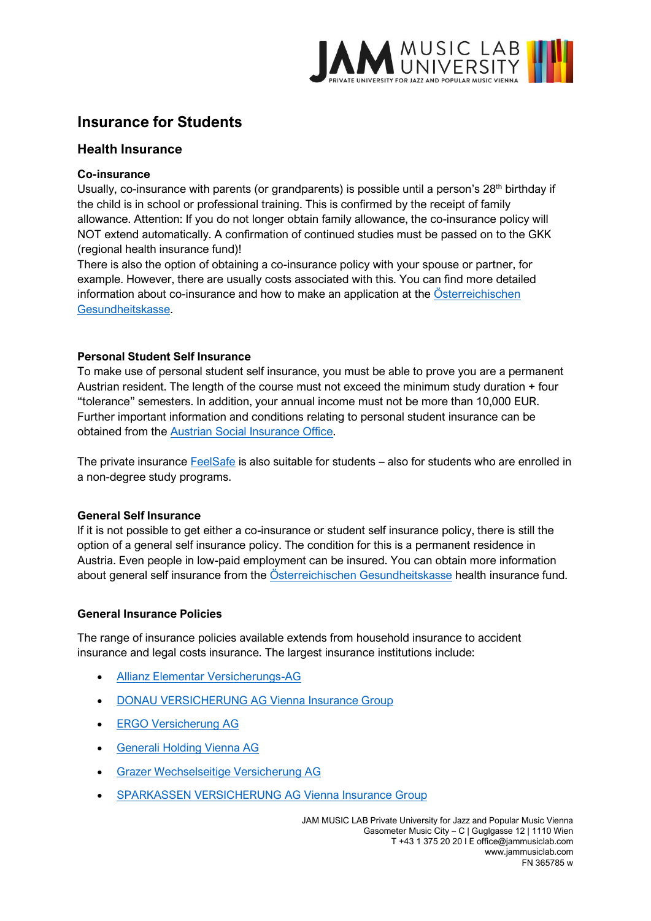

# **Insurance for Students**

## **Health Insurance**

#### **Co-insurance**

Usually, co-insurance with parents (or grandparents) is possible until a person's 28<sup>th</sup> birthday if the child is in school or professional training. This is confirmed by the receipt of family allowance. Attention: If you do not longer obtain family allowance, the co-insurance policy will NOT extend automatically. A confirmation of continued studies must be passed on to the GKK (regional health insurance fund)!

There is also the option of obtaining a co-insurance policy with your spouse or partner, for example. However, there are usually costs associated with this. You can find more detailed information about co-insurance and how to make an application at the [Österreichischen](file:///C:/Users/Feli/Desktop/JAM/Online%20&%20Social%20Media/WEB/JAM_Webseite/gesundheitskasse.at)  [Gesundheitskasse.](file:///C:/Users/Feli/Desktop/JAM/Online%20&%20Social%20Media/WEB/JAM_Webseite/gesundheitskasse.at)

#### **Personal Student Self Insurance**

To make use of personal student self insurance, you must be able to prove you are a permanent Austrian resident. The length of the course must not exceed the minimum study duration + four "tolerance" semesters. In addition, your annual income must not be more than 10,000 EUR. Further important information and conditions relating to personal student insurance can be obtained from the [Austrian Social Insurance Office.](https://svselfie.sozvers.at/SVselfie/info.html)

The private insurance [FeelSafe](https://www.feelsafe.at/) is also suitable for students – also for students who are enrolled in a non-degree study programs.

### **General Self Insurance**

If it is not possible to get either a co-insurance or student self insurance policy, there is still the option of a general self insurance policy. The condition for this is a permanent residence in Austria. Even people in low-paid employment can be insured. You can obtain more information about general self insurance from the [Österreichischen Gesundheitskasse](file:///C:/Users/Feli/Desktop/JAM/Online%20&%20Social%20Media/WEB/JAM_Webseite/gesundheitskasse.at) health insurance fund.

#### **General Insurance Policies**

The range of insurance policies available extends from household insurance to accident insurance and legal costs insurance. The largest insurance institutions include:

- [Allianz Elementar Versicherungs-AG](http://www.allianz.at/)
- [DONAU VERSICHERUNG AG Vienna Insurance Group](http://www.donauversicherung.at/)
- [ERGO Versicherung AG](http://www.ergo-austria.at/)
- [Generali Holding Vienna AG](http://www.generali.at/)
- [Grazer Wechselseitige Versicherung AG](http://www.grawe.at/)
- [SPARKASSEN VERSICHERUNG AG Vienna Insurance Group](http://www.s-versicherung.at/)